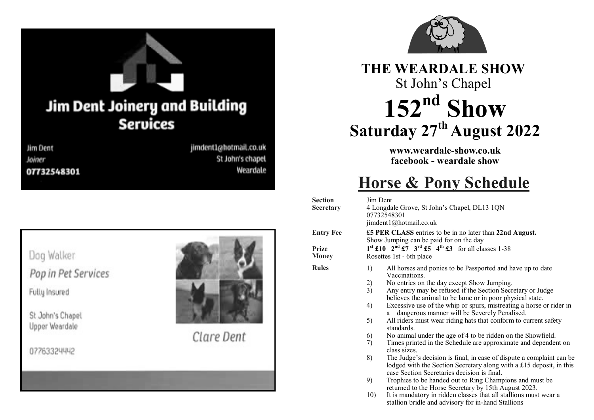

# **THE WEARDALE SHOW** St John's Chapel **152nd Show Saturday 27th August 2022**

**www.weardale-show.co.uk facebook - weardale show**

# **Horse & Pony Schedule**

| <b>Section</b><br><b>Secretary</b> | Jim Dent<br>4 Longdale Grove, St John's Chapel, DL13 1QN<br>07732548301<br>jimdent1@hotmail.co.uk                                                                                                                                                                                                                                                                                                                                                                                                                                                                                                                                                                                                                                                                                                                                                                                                                                 |
|------------------------------------|-----------------------------------------------------------------------------------------------------------------------------------------------------------------------------------------------------------------------------------------------------------------------------------------------------------------------------------------------------------------------------------------------------------------------------------------------------------------------------------------------------------------------------------------------------------------------------------------------------------------------------------------------------------------------------------------------------------------------------------------------------------------------------------------------------------------------------------------------------------------------------------------------------------------------------------|
| <b>Entry Fee</b>                   | £5 PER CLASS entries to be in no later than 22nd August.<br>Show Jumping can be paid for on the day                                                                                                                                                                                                                                                                                                                                                                                                                                                                                                                                                                                                                                                                                                                                                                                                                               |
| <b>Prize</b><br>Money              | $1^{st}$ £10 $2^{nd}$ £7 $3^{rd}$ £5 $4^{th}$ £3 for all classes 1-38<br>Rosettes 1st - 6th place                                                                                                                                                                                                                                                                                                                                                                                                                                                                                                                                                                                                                                                                                                                                                                                                                                 |
| <b>Rules</b>                       | 1)<br>All horses and ponies to be Passported and have up to date<br>Vaccinations.<br>2)<br>No entries on the day except Show Jumping.<br>3)<br>Any entry may be refused if the Section Secretary or Judge<br>believes the animal to be lame or in poor physical state.<br>4)<br>Excessive use of the whip or spurs, mistreating a horse or rider in<br>dangerous manner will be Severely Penalised.<br>a<br>All riders must wear riding hats that conform to current safety<br>5)<br>standards.<br>No animal under the age of 4 to be ridden on the Showfield.<br>6)<br>7)<br>Times printed in the Schedule are approximate and dependent on<br>class sizes.<br>8)<br>The Judge's decision is final, in case of dispute a complaint can be<br>lodged with the Section Secretary along with a £15 deposit, in this<br>case Section Secretaries decision is final.<br>9)<br>Trophies to be handed out to Ring Champions and must be |
|                                    | returned to the Horse Secretary by 15th August 2023.<br>It is mandatory in ridden classes that all stallions must wear a<br>10)<br>stallion bridle and advisory for in-hand Stallions                                                                                                                                                                                                                                                                                                                                                                                                                                                                                                                                                                                                                                                                                                                                             |

Dog Walker Pop in Pet Services

Fully Insured

St John's Chapel Upper Weardale

07763324442



Clare Dent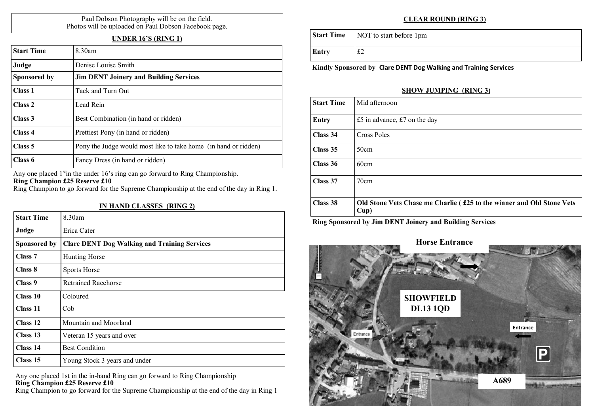#### Paul Dobson Photography will be on the field. Photos will be uploaded on Paul Dobson Facebook page.

## **UNDER 16'S (RING 1)**

| <b>Start Time</b> | $8.30$ am                                                       |
|-------------------|-----------------------------------------------------------------|
| Judge             | Denise Louise Smith                                             |
| Sponsored by      | <b>Jim DENT Joinery and Building Services</b>                   |
| Class 1           | Tack and Turn Out                                               |
| Class 2           | Lead Rein                                                       |
| Class 3           | Best Combination (in hand or ridden)                            |
| Class 4           | Prettiest Pony (in hand or ridden)                              |
| Class 5           | Pony the Judge would most like to take home (in hand or ridden) |
| Class 6           | Fancy Dress (in hand or ridden)                                 |

Any one placed  $1<sup>st</sup>$  in the under 16's ring can go forward to Ring Championship. **Ring Champion £25 Reserve £10**

Ring Champion to go forward for the Supreme Championship at the end of the day in Ring 1.

#### **IN HAND CLASSES (RING 2)**

| <b>Start Time</b>  | 8.30am                                              |
|--------------------|-----------------------------------------------------|
| Judge              | Erica Cater                                         |
| Sponsored by       | <b>Clare DENT Dog Walking and Training Services</b> |
| Class <sub>7</sub> | Hunting Horse                                       |
| Class 8            | Sports Horse                                        |
| Class 9            | <b>Retrained Racehorse</b>                          |
| Class 10           | Coloured                                            |
| Class 11           | Cob                                                 |
| Class 12           | Mountain and Moorland                               |
| Class 13           | Veteran 15 years and over                           |
| Class 14           | <b>Best Condition</b>                               |
| Class 15           | Young Stock 3 years and under                       |

Any one placed 1st in the in-hand Ring can go forward to Ring Championship **Ring Champion £25 Reserve £10**

Ring Champion to go forward for the Supreme Championship at the end of the day in Ring 1

### **CLEAR ROUND (RING 3)**

|  | <b>Start Time</b>   NOT to start before 1pm |
|--|---------------------------------------------|
|--|---------------------------------------------|

**Entry** £2

**Kindly Sponsored by Clare DENT Dog Walking and Training Services**

### **SHOW JUMPING (RING 3)**

| <b>Start Time</b> | Mid afternoon                                                                 |
|-------------------|-------------------------------------------------------------------------------|
| <b>Entry</b>      | £5 in advance, $£7$ on the day                                                |
| Class 34          | Cross Poles                                                                   |
| Class 35          | 50cm                                                                          |
| Class 36          | 60cm                                                                          |
| Class 37          | 70cm                                                                          |
| Class 38          | Old Stone Vets Chase me Charlie (£25 to the winner and Old Stone Vets<br>Cup) |

**Ring Sponsored by Jim DENT Joinery and Building Services**